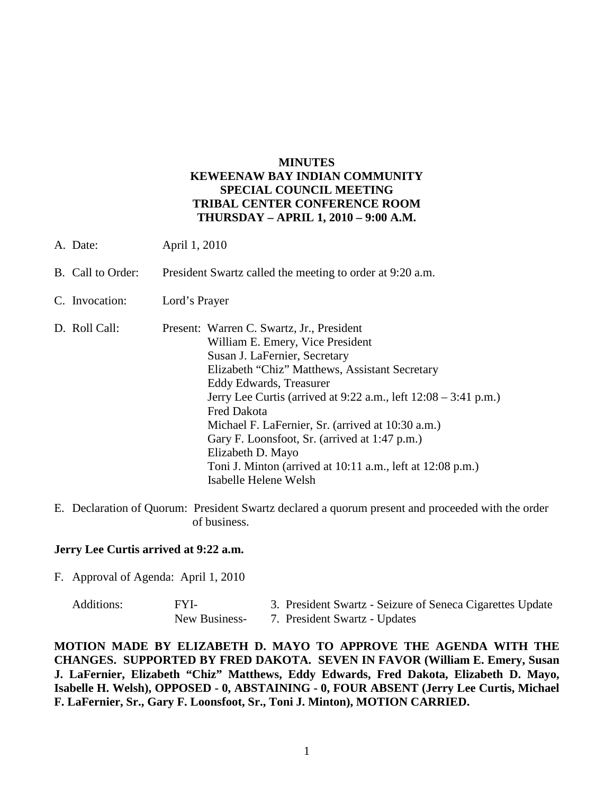# **MINUTES KEWEENAW BAY INDIAN COMMUNITY SPECIAL COUNCIL MEETING TRIBAL CENTER CONFERENCE ROOM THURSDAY – APRIL 1, 2010 – 9:00 A.M.**

- A. Date: April 1, 2010
- B. Call to Order: President Swartz called the meeting to order at 9:20 a.m.
- C. Invocation: Lord's Prayer
- D. Roll Call: Present: Warren C. Swartz, Jr., President William E. Emery, Vice President Susan J. LaFernier, Secretary Elizabeth "Chiz" Matthews, Assistant Secretary Eddy Edwards, Treasurer Jerry Lee Curtis (arrived at 9:22 a.m., left 12:08 – 3:41 p.m.) Fred Dakota Michael F. LaFernier, Sr. (arrived at 10:30 a.m.) Gary F. Loonsfoot, Sr. (arrived at 1:47 p.m.) Elizabeth D. Mayo Toni J. Minton (arrived at 10:11 a.m., left at 12:08 p.m.) Isabelle Helene Welsh
- E. Declaration of Quorum: President Swartz declared a quorum present and proceeded with the order of business.

### **Jerry Lee Curtis arrived at 9:22 a.m.**

F. Approval of Agenda: April 1, 2010

| Additions: | FYI-          | 3. President Swartz - Seizure of Seneca Cigarettes Update |
|------------|---------------|-----------------------------------------------------------|
|            | New Business- | 7. President Swartz - Updates                             |

**MOTION MADE BY ELIZABETH D. MAYO TO APPROVE THE AGENDA WITH THE CHANGES. SUPPORTED BY FRED DAKOTA. SEVEN IN FAVOR (William E. Emery, Susan J. LaFernier, Elizabeth "Chiz" Matthews, Eddy Edwards, Fred Dakota, Elizabeth D. Mayo, Isabelle H. Welsh), OPPOSED - 0, ABSTAINING - 0, FOUR ABSENT (Jerry Lee Curtis, Michael F. LaFernier, Sr., Gary F. Loonsfoot, Sr., Toni J. Minton), MOTION CARRIED.**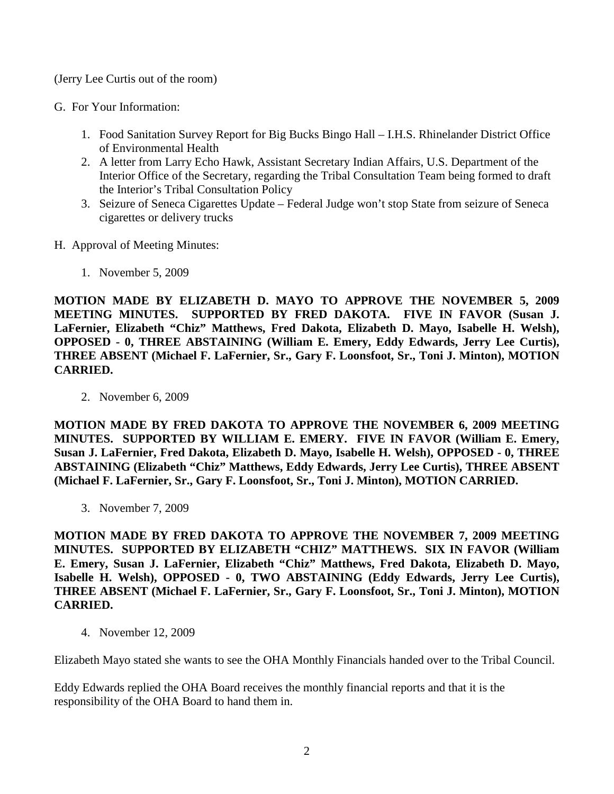(Jerry Lee Curtis out of the room)

- G. For Your Information:
	- 1. Food Sanitation Survey Report for Big Bucks Bingo Hall I.H.S. Rhinelander District Office of Environmental Health
	- 2. A letter from Larry Echo Hawk, Assistant Secretary Indian Affairs, U.S. Department of the Interior Office of the Secretary, regarding the Tribal Consultation Team being formed to draft the Interior's Tribal Consultation Policy
	- 3. Seizure of Seneca Cigarettes Update Federal Judge won't stop State from seizure of Seneca cigarettes or delivery trucks
- H. Approval of Meeting Minutes:
	- 1. November 5, 2009

**MOTION MADE BY ELIZABETH D. MAYO TO APPROVE THE NOVEMBER 5, 2009 MEETING MINUTES. SUPPORTED BY FRED DAKOTA. FIVE IN FAVOR (Susan J. LaFernier, Elizabeth "Chiz" Matthews, Fred Dakota, Elizabeth D. Mayo, Isabelle H. Welsh), OPPOSED - 0, THREE ABSTAINING (William E. Emery, Eddy Edwards, Jerry Lee Curtis), THREE ABSENT (Michael F. LaFernier, Sr., Gary F. Loonsfoot, Sr., Toni J. Minton), MOTION CARRIED.**

2. November 6, 2009

**MOTION MADE BY FRED DAKOTA TO APPROVE THE NOVEMBER 6, 2009 MEETING MINUTES. SUPPORTED BY WILLIAM E. EMERY. FIVE IN FAVOR (William E. Emery, Susan J. LaFernier, Fred Dakota, Elizabeth D. Mayo, Isabelle H. Welsh), OPPOSED - 0, THREE ABSTAINING (Elizabeth "Chiz" Matthews, Eddy Edwards, Jerry Lee Curtis), THREE ABSENT (Michael F. LaFernier, Sr., Gary F. Loonsfoot, Sr., Toni J. Minton), MOTION CARRIED.** 

3. November 7, 2009

**MOTION MADE BY FRED DAKOTA TO APPROVE THE NOVEMBER 7, 2009 MEETING MINUTES. SUPPORTED BY ELIZABETH "CHIZ" MATTHEWS. SIX IN FAVOR (William E. Emery, Susan J. LaFernier, Elizabeth "Chiz" Matthews, Fred Dakota, Elizabeth D. Mayo, Isabelle H. Welsh), OPPOSED - 0, TWO ABSTAINING (Eddy Edwards, Jerry Lee Curtis), THREE ABSENT (Michael F. LaFernier, Sr., Gary F. Loonsfoot, Sr., Toni J. Minton), MOTION CARRIED.**

4. November 12, 2009

Elizabeth Mayo stated she wants to see the OHA Monthly Financials handed over to the Tribal Council.

Eddy Edwards replied the OHA Board receives the monthly financial reports and that it is the responsibility of the OHA Board to hand them in.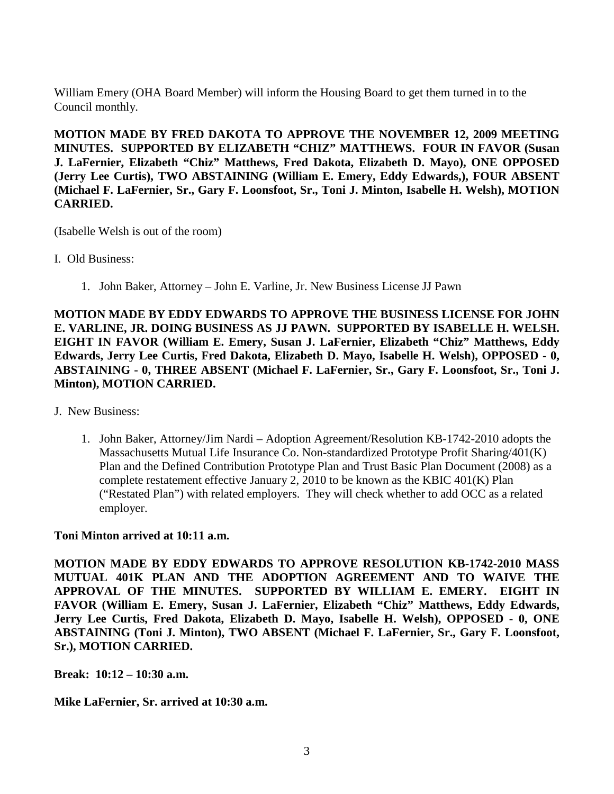William Emery (OHA Board Member) will inform the Housing Board to get them turned in to the Council monthly.

**MOTION MADE BY FRED DAKOTA TO APPROVE THE NOVEMBER 12, 2009 MEETING MINUTES. SUPPORTED BY ELIZABETH "CHIZ" MATTHEWS. FOUR IN FAVOR (Susan J. LaFernier, Elizabeth "Chiz" Matthews, Fred Dakota, Elizabeth D. Mayo), ONE OPPOSED (Jerry Lee Curtis), TWO ABSTAINING (William E. Emery, Eddy Edwards,), FOUR ABSENT (Michael F. LaFernier, Sr., Gary F. Loonsfoot, Sr., Toni J. Minton, Isabelle H. Welsh), MOTION CARRIED.**

(Isabelle Welsh is out of the room)

- I. Old Business:
	- 1. John Baker, Attorney John E. Varline, Jr. New Business License JJ Pawn

**MOTION MADE BY EDDY EDWARDS TO APPROVE THE BUSINESS LICENSE FOR JOHN E. VARLINE, JR. DOING BUSINESS AS JJ PAWN. SUPPORTED BY ISABELLE H. WELSH. EIGHT IN FAVOR (William E. Emery, Susan J. LaFernier, Elizabeth "Chiz" Matthews, Eddy Edwards, Jerry Lee Curtis, Fred Dakota, Elizabeth D. Mayo, Isabelle H. Welsh), OPPOSED - 0, ABSTAINING - 0, THREE ABSENT (Michael F. LaFernier, Sr., Gary F. Loonsfoot, Sr., Toni J. Minton), MOTION CARRIED.**

- J. New Business:
	- 1. John Baker, Attorney/Jim Nardi Adoption Agreement/Resolution KB-1742-2010 adopts the Massachusetts Mutual Life Insurance Co. Non-standardized Prototype Profit Sharing/401(K) Plan and the Defined Contribution Prototype Plan and Trust Basic Plan Document (2008) as a complete restatement effective January 2, 2010 to be known as the KBIC 401(K) Plan ("Restated Plan") with related employers. They will check whether to add OCC as a related employer.

## **Toni Minton arrived at 10:11 a.m.**

**MOTION MADE BY EDDY EDWARDS TO APPROVE RESOLUTION KB-1742-2010 MASS MUTUAL 401K PLAN AND THE ADOPTION AGREEMENT AND TO WAIVE THE APPROVAL OF THE MINUTES. SUPPORTED BY WILLIAM E. EMERY. EIGHT IN FAVOR (William E. Emery, Susan J. LaFernier, Elizabeth "Chiz" Matthews, Eddy Edwards, Jerry Lee Curtis, Fred Dakota, Elizabeth D. Mayo, Isabelle H. Welsh), OPPOSED - 0, ONE ABSTAINING (Toni J. Minton), TWO ABSENT (Michael F. LaFernier, Sr., Gary F. Loonsfoot, Sr.), MOTION CARRIED.**

**Break: 10:12 – 10:30 a.m.** 

**Mike LaFernier, Sr. arrived at 10:30 a.m.**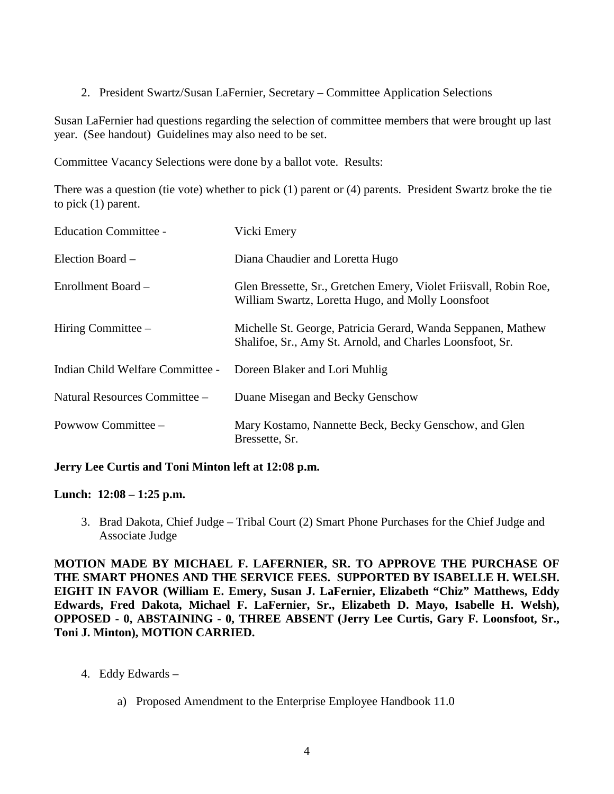2. President Swartz/Susan LaFernier, Secretary – Committee Application Selections

Susan LaFernier had questions regarding the selection of committee members that were brought up last year. (See handout) Guidelines may also need to be set.

Committee Vacancy Selections were done by a ballot vote. Results:

There was a question (tie vote) whether to pick (1) parent or (4) parents. President Swartz broke the tie to pick (1) parent.

| <b>Education Committee -</b>     | Vicki Emery                                                                                                               |
|----------------------------------|---------------------------------------------------------------------------------------------------------------------------|
| Election Board –                 | Diana Chaudier and Loretta Hugo                                                                                           |
| Enrollment Board -               | Glen Bressette, Sr., Gretchen Emery, Violet Friisvall, Robin Roe,<br>William Swartz, Loretta Hugo, and Molly Loonsfoot    |
| Hiring Committee $-$             | Michelle St. George, Patricia Gerard, Wanda Seppanen, Mathew<br>Shalifoe, Sr., Amy St. Arnold, and Charles Loonsfoot, Sr. |
| Indian Child Welfare Committee - | Doreen Blaker and Lori Muhlig                                                                                             |
| Natural Resources Committee -    | Duane Misegan and Becky Genschow                                                                                          |
| Powwow Committee -               | Mary Kostamo, Nannette Beck, Becky Genschow, and Glen<br>Bressette, Sr.                                                   |

## **Jerry Lee Curtis and Toni Minton left at 12:08 p.m.**

## **Lunch: 12:08 – 1:25 p.m.**

3. Brad Dakota, Chief Judge – Tribal Court (2) Smart Phone Purchases for the Chief Judge and Associate Judge

**MOTION MADE BY MICHAEL F. LAFERNIER, SR. TO APPROVE THE PURCHASE OF THE SMART PHONES AND THE SERVICE FEES. SUPPORTED BY ISABELLE H. WELSH. EIGHT IN FAVOR (William E. Emery, Susan J. LaFernier, Elizabeth "Chiz" Matthews, Eddy Edwards, Fred Dakota, Michael F. LaFernier, Sr., Elizabeth D. Mayo, Isabelle H. Welsh), OPPOSED - 0, ABSTAINING - 0, THREE ABSENT (Jerry Lee Curtis, Gary F. Loonsfoot, Sr., Toni J. Minton), MOTION CARRIED.**

- 4. Eddy Edwards
	- a) Proposed Amendment to the Enterprise Employee Handbook 11.0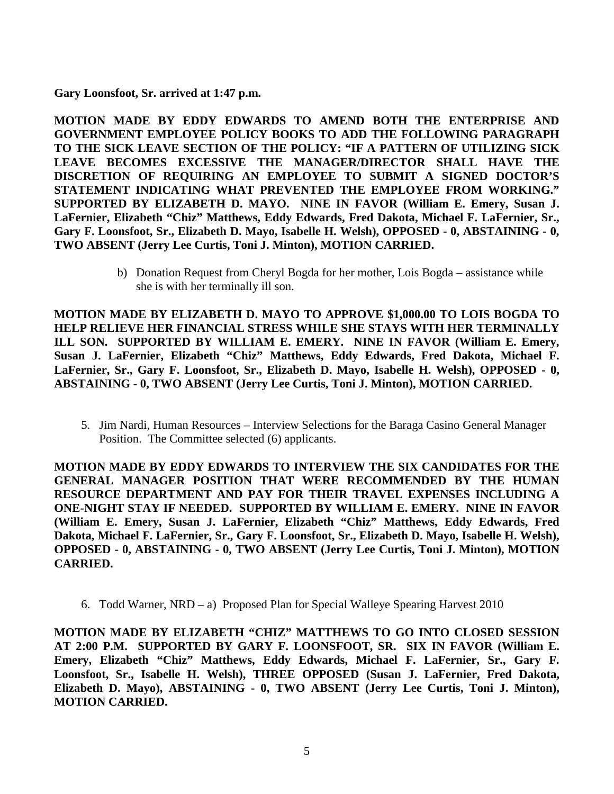**Gary Loonsfoot, Sr. arrived at 1:47 p.m.** 

**MOTION MADE BY EDDY EDWARDS TO AMEND BOTH THE ENTERPRISE AND GOVERNMENT EMPLOYEE POLICY BOOKS TO ADD THE FOLLOWING PARAGRAPH TO THE SICK LEAVE SECTION OF THE POLICY: "IF A PATTERN OF UTILIZING SICK LEAVE BECOMES EXCESSIVE THE MANAGER/DIRECTOR SHALL HAVE THE DISCRETION OF REQUIRING AN EMPLOYEE TO SUBMIT A SIGNED DOCTOR'S STATEMENT INDICATING WHAT PREVENTED THE EMPLOYEE FROM WORKING." SUPPORTED BY ELIZABETH D. MAYO. NINE IN FAVOR (William E. Emery, Susan J. LaFernier, Elizabeth "Chiz" Matthews, Eddy Edwards, Fred Dakota, Michael F. LaFernier, Sr., Gary F. Loonsfoot, Sr., Elizabeth D. Mayo, Isabelle H. Welsh), OPPOSED - 0, ABSTAINING - 0, TWO ABSENT (Jerry Lee Curtis, Toni J. Minton), MOTION CARRIED.**

> b) Donation Request from Cheryl Bogda for her mother, Lois Bogda – assistance while she is with her terminally ill son.

**MOTION MADE BY ELIZABETH D. MAYO TO APPROVE \$1,000.00 TO LOIS BOGDA TO HELP RELIEVE HER FINANCIAL STRESS WHILE SHE STAYS WITH HER TERMINALLY ILL SON. SUPPORTED BY WILLIAM E. EMERY. NINE IN FAVOR (William E. Emery, Susan J. LaFernier, Elizabeth "Chiz" Matthews, Eddy Edwards, Fred Dakota, Michael F. LaFernier, Sr., Gary F. Loonsfoot, Sr., Elizabeth D. Mayo, Isabelle H. Welsh), OPPOSED - 0, ABSTAINING - 0, TWO ABSENT (Jerry Lee Curtis, Toni J. Minton), MOTION CARRIED.**

5. Jim Nardi, Human Resources – Interview Selections for the Baraga Casino General Manager Position. The Committee selected (6) applicants.

**MOTION MADE BY EDDY EDWARDS TO INTERVIEW THE SIX CANDIDATES FOR THE GENERAL MANAGER POSITION THAT WERE RECOMMENDED BY THE HUMAN RESOURCE DEPARTMENT AND PAY FOR THEIR TRAVEL EXPENSES INCLUDING A ONE-NIGHT STAY IF NEEDED. SUPPORTED BY WILLIAM E. EMERY. NINE IN FAVOR (William E. Emery, Susan J. LaFernier, Elizabeth "Chiz" Matthews, Eddy Edwards, Fred Dakota, Michael F. LaFernier, Sr., Gary F. Loonsfoot, Sr., Elizabeth D. Mayo, Isabelle H. Welsh), OPPOSED - 0, ABSTAINING - 0, TWO ABSENT (Jerry Lee Curtis, Toni J. Minton), MOTION CARRIED.**

6. Todd Warner, NRD – a) Proposed Plan for Special Walleye Spearing Harvest 2010

**MOTION MADE BY ELIZABETH "CHIZ" MATTHEWS TO GO INTO CLOSED SESSION AT 2:00 P.M. SUPPORTED BY GARY F. LOONSFOOT, SR. SIX IN FAVOR (William E. Emery, Elizabeth "Chiz" Matthews, Eddy Edwards, Michael F. LaFernier, Sr., Gary F. Loonsfoot, Sr., Isabelle H. Welsh), THREE OPPOSED (Susan J. LaFernier, Fred Dakota, Elizabeth D. Mayo), ABSTAINING - 0, TWO ABSENT (Jerry Lee Curtis, Toni J. Minton), MOTION CARRIED.**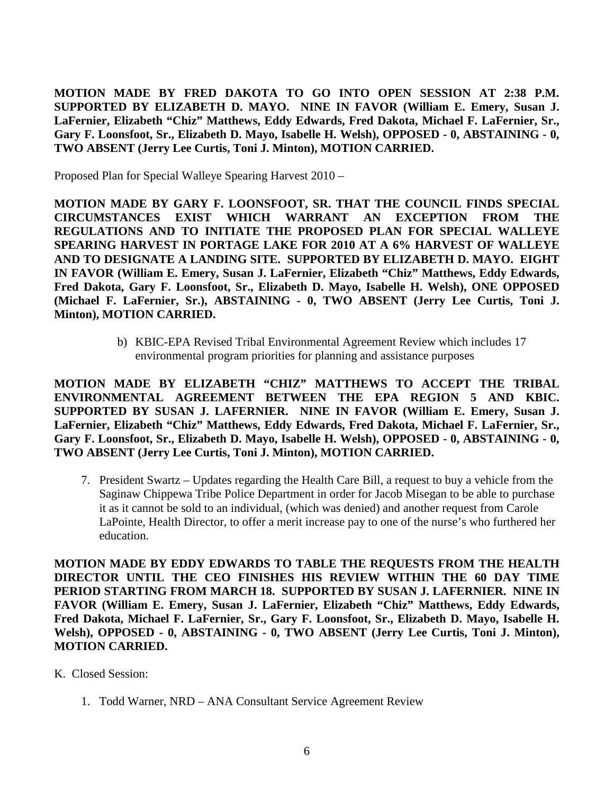**MOTION MADE BY FRED DAKOTA TO GO INTO OPEN SESSION AT 2:38 P.M. SUPPORTED BY ELIZABETH D. MAYO. NINE IN FAVOR (William E. Emery, Susan J. LaFernier, Elizabeth "Chiz" Matthews, Eddy Edwards, Fred Dakota, Michael F. LaFernier, Sr., Gary F. Loonsfoot, Sr., Elizabeth D. Mayo, Isabelle H. Welsh), OPPOSED - 0, ABSTAINING - 0, TWO ABSENT (Jerry Lee Curtis, Toni J. Minton), MOTION CARRIED.**

Proposed Plan for Special Walleye Spearing Harvest 2010 –

**MOTION MADE BY GARY F. LOONSFOOT, SR. THAT THE COUNCIL FINDS SPECIAL CIRCUMSTANCES EXIST WHICH WARRANT AN EXCEPTION FROM THE REGULATIONS AND TO INITIATE THE PROPOSED PLAN FOR SPECIAL WALLEYE SPEARING HARVEST IN PORTAGE LAKE FOR 2010 AT A 6% HARVEST OF WALLEYE AND TO DESIGNATE A LANDING SITE. SUPPORTED BY ELIZABETH D. MAYO. EIGHT IN FAVOR (William E. Emery, Susan J. LaFernier, Elizabeth "Chiz" Matthews, Eddy Edwards, Fred Dakota, Gary F. Loonsfoot, Sr., Elizabeth D. Mayo, Isabelle H. Welsh), ONE OPPOSED (Michael F. LaFernier, Sr.), ABSTAINING - 0, TWO ABSENT (Jerry Lee Curtis, Toni J. Minton), MOTION CARRIED.**

> b) KBIC-EPA Revised Tribal Environmental Agreement Review which includes 17 environmental program priorities for planning and assistance purposes

**MOTION MADE BY ELIZABETH "CHIZ" MATTHEWS TO ACCEPT THE TRIBAL ENVIRONMENTAL AGREEMENT BETWEEN THE EPA REGION 5 AND KBIC. SUPPORTED BY SUSAN J. LAFERNIER. NINE IN FAVOR (William E. Emery, Susan J. LaFernier, Elizabeth "Chiz" Matthews, Eddy Edwards, Fred Dakota, Michael F. LaFernier, Sr., Gary F. Loonsfoot, Sr., Elizabeth D. Mayo, Isabelle H. Welsh), OPPOSED - 0, ABSTAINING - 0, TWO ABSENT (Jerry Lee Curtis, Toni J. Minton), MOTION CARRIED.**

7. President Swartz – Updates regarding the Health Care Bill, a request to buy a vehicle from the Saginaw Chippewa Tribe Police Department in order for Jacob Misegan to be able to purchase it as it cannot be sold to an individual, (which was denied) and another request from Carole LaPointe, Health Director, to offer a merit increase pay to one of the nurse's who furthered her education.

**MOTION MADE BY EDDY EDWARDS TO TABLE THE REQUESTS FROM THE HEALTH DIRECTOR UNTIL THE CEO FINISHES HIS REVIEW WITHIN THE 60 DAY TIME PERIOD STARTING FROM MARCH 18. SUPPORTED BY SUSAN J. LAFERNIER. NINE IN FAVOR (William E. Emery, Susan J. LaFernier, Elizabeth "Chiz" Matthews, Eddy Edwards, Fred Dakota, Michael F. LaFernier, Sr., Gary F. Loonsfoot, Sr., Elizabeth D. Mayo, Isabelle H. Welsh), OPPOSED - 0, ABSTAINING - 0, TWO ABSENT (Jerry Lee Curtis, Toni J. Minton), MOTION CARRIED.**

- K. Closed Session:
	- 1. Todd Warner, NRD ANA Consultant Service Agreement Review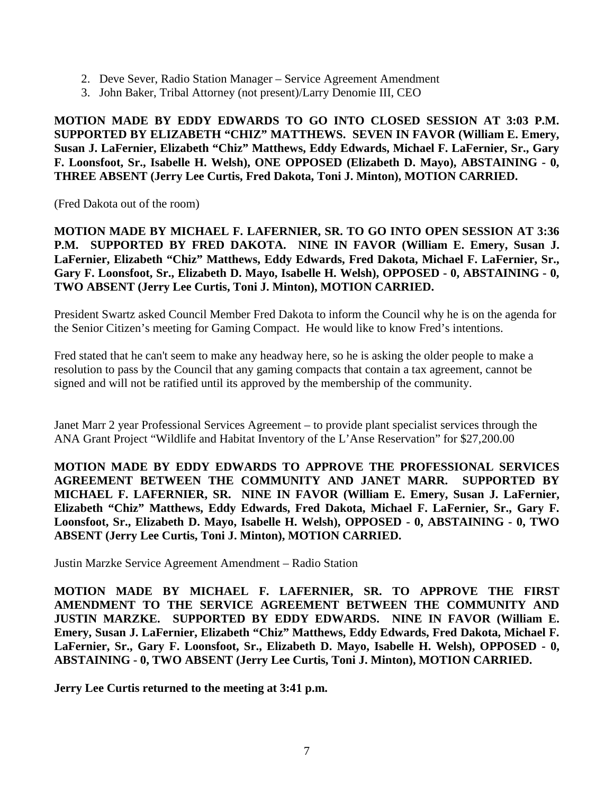- 2. Deve Sever, Radio Station Manager Service Agreement Amendment
- 3. John Baker, Tribal Attorney (not present)/Larry Denomie III, CEO

**MOTION MADE BY EDDY EDWARDS TO GO INTO CLOSED SESSION AT 3:03 P.M. SUPPORTED BY ELIZABETH "CHIZ" MATTHEWS. SEVEN IN FAVOR (William E. Emery, Susan J. LaFernier, Elizabeth "Chiz" Matthews, Eddy Edwards, Michael F. LaFernier, Sr., Gary F. Loonsfoot, Sr., Isabelle H. Welsh), ONE OPPOSED (Elizabeth D. Mayo), ABSTAINING - 0, THREE ABSENT (Jerry Lee Curtis, Fred Dakota, Toni J. Minton), MOTION CARRIED.** 

(Fred Dakota out of the room)

**MOTION MADE BY MICHAEL F. LAFERNIER, SR. TO GO INTO OPEN SESSION AT 3:36**  P.M. SUPPORTED BY FRED DAKOTA. NINE IN FAVOR (William E. Emery, Susan J. **LaFernier, Elizabeth "Chiz" Matthews, Eddy Edwards, Fred Dakota, Michael F. LaFernier, Sr., Gary F. Loonsfoot, Sr., Elizabeth D. Mayo, Isabelle H. Welsh), OPPOSED - 0, ABSTAINING - 0, TWO ABSENT (Jerry Lee Curtis, Toni J. Minton), MOTION CARRIED.**

President Swartz asked Council Member Fred Dakota to inform the Council why he is on the agenda for the Senior Citizen's meeting for Gaming Compact. He would like to know Fred's intentions.

Fred stated that he can't seem to make any headway here, so he is asking the older people to make a resolution to pass by the Council that any gaming compacts that contain a tax agreement, cannot be signed and will not be ratified until its approved by the membership of the community.

Janet Marr 2 year Professional Services Agreement – to provide plant specialist services through the ANA Grant Project "Wildlife and Habitat Inventory of the L'Anse Reservation" for \$27,200.00

**MOTION MADE BY EDDY EDWARDS TO APPROVE THE PROFESSIONAL SERVICES AGREEMENT BETWEEN THE COMMUNITY AND JANET MARR. SUPPORTED BY MICHAEL F. LAFERNIER, SR. NINE IN FAVOR (William E. Emery, Susan J. LaFernier, Elizabeth "Chiz" Matthews, Eddy Edwards, Fred Dakota, Michael F. LaFernier, Sr., Gary F. Loonsfoot, Sr., Elizabeth D. Mayo, Isabelle H. Welsh), OPPOSED - 0, ABSTAINING - 0, TWO ABSENT (Jerry Lee Curtis, Toni J. Minton), MOTION CARRIED.**

Justin Marzke Service Agreement Amendment – Radio Station

**MOTION MADE BY MICHAEL F. LAFERNIER, SR. TO APPROVE THE FIRST AMENDMENT TO THE SERVICE AGREEMENT BETWEEN THE COMMUNITY AND JUSTIN MARZKE. SUPPORTED BY EDDY EDWARDS. NINE IN FAVOR (William E. Emery, Susan J. LaFernier, Elizabeth "Chiz" Matthews, Eddy Edwards, Fred Dakota, Michael F. LaFernier, Sr., Gary F. Loonsfoot, Sr., Elizabeth D. Mayo, Isabelle H. Welsh), OPPOSED - 0, ABSTAINING - 0, TWO ABSENT (Jerry Lee Curtis, Toni J. Minton), MOTION CARRIED.**

**Jerry Lee Curtis returned to the meeting at 3:41 p.m.**